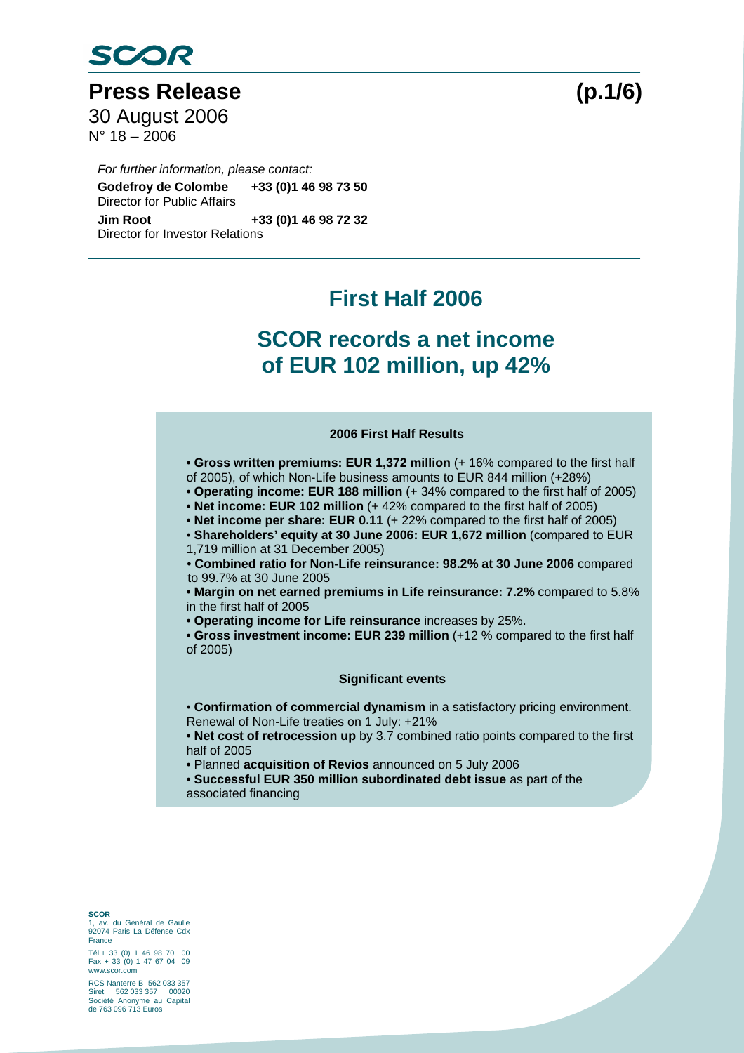

Press Release (p.1/6) 30 August 2006  $N^{\circ}$  18 – 2006

*For further information, please contact:*  **Godefroy de Colombe +33 (0)1 46 98 73 50**  Director for Public Affairs **Jim Root +33 (0)1 46 98 72 32**  Director for Investor Relations

## **First Half 2006**

## **SCOR records a net income of EUR 102 million, up 42%**

### **2006 First Half Results**

- **Gross written premiums: EUR 1,372 million** (+ 16% compared to the first half of 2005), of which Non-Life business amounts to EUR 844 million (+28%)
- **Operating income: EUR 188 million** (+ 34% compared to the first half of 2005)
- Net income: EUR 102 million (+ 42% compared to the first half of 2005)
- Net income per share: EUR 0.11 (+ 22% compared to the first half of 2005)
- **Shareholders' equity at 30 June 2006: EUR 1,672 million** (compared to EUR
- 1,719 million at 31 December 2005)
- **Combined ratio for Non-Life reinsurance: 98.2% at 30 June 2006** compared to 99.7% at 30 June 2005
- **Margin on net earned premiums in Life reinsurance: 7.2%** compared to 5.8% in the first half of 2005
- **Operating income for Life reinsurance** increases by 25%.
- **Gross investment income: EUR 239 million** (+12 % compared to the first half of 2005)

### **Significant events**

- **Confirmation of commercial dynamism** in a satisfactory pricing environment. Renewal of Non-Life treaties on 1 July: +21%
- **Net cost of retrocession up** by 3.7 combined ratio points compared to the first half of 2005
- Planned **acquisition of Revios** announced on 5 July 2006
- **Successful EUR 350 million subordinated debt issue** as part of the associated financing

**SCOR**  1, av. du Général de Gaulle 92074 Paris La Défense Cdx France

Tél + 33 (0) 1 46 98 70 00 Fax + 33 (0) 1 47 67 04 09 www.scor.com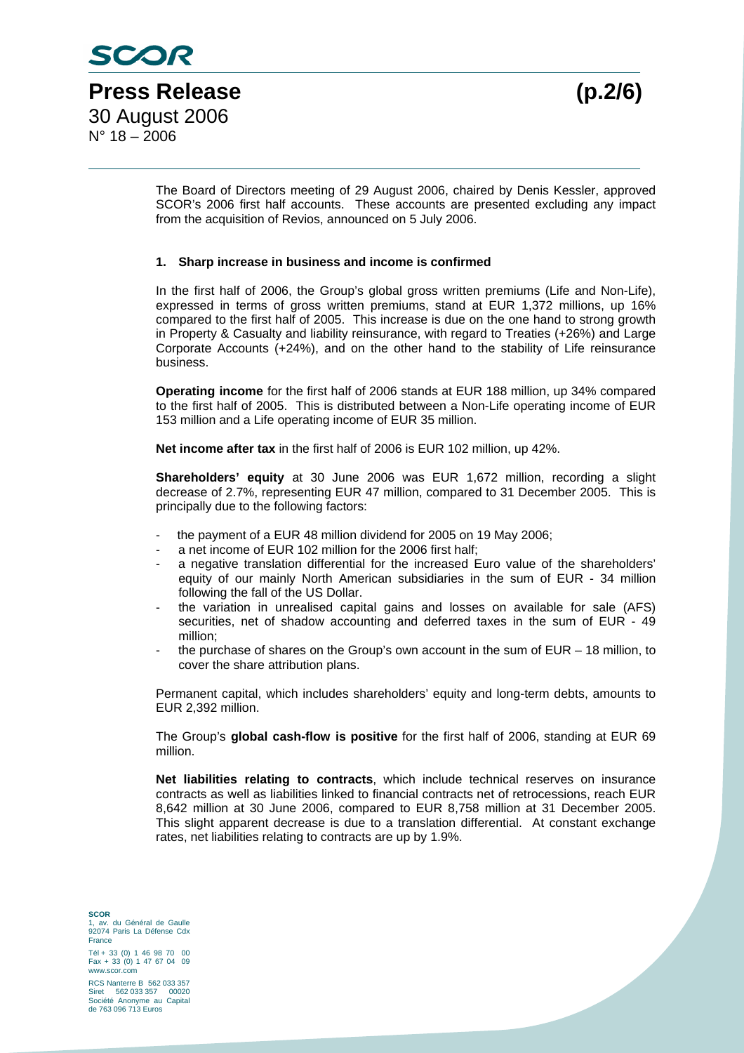The Board of Directors meeting of 29 August 2006, chaired by Denis Kessler, approved SCOR's 2006 first half accounts. These accounts are presented excluding any impact from the acquisition of Revios, announced on 5 July 2006.

### **1. Sharp increase in business and income is confirmed**

In the first half of 2006, the Group's global gross written premiums (Life and Non-Life), expressed in terms of gross written premiums, stand at EUR 1,372 millions, up 16% compared to the first half of 2005. This increase is due on the one hand to strong growth in Property & Casualty and liability reinsurance, with regard to Treaties (+26%) and Large Corporate Accounts (+24%), and on the other hand to the stability of Life reinsurance business.

**Operating income** for the first half of 2006 stands at EUR 188 million, up 34% compared to the first half of 2005. This is distributed between a Non-Life operating income of EUR 153 million and a Life operating income of EUR 35 million.

**Net income after tax** in the first half of 2006 is EUR 102 million, up 42%.

**Shareholders' equity** at 30 June 2006 was EUR 1,672 million, recording a slight decrease of 2.7%, representing EUR 47 million, compared to 31 December 2005. This is principally due to the following factors:

- the payment of a EUR 48 million dividend for 2005 on 19 May 2006;
- a net income of EUR 102 million for the 2006 first half;
- a negative translation differential for the increased Euro value of the shareholders' equity of our mainly North American subsidiaries in the sum of EUR - 34 million following the fall of the US Dollar.
- the variation in unrealised capital gains and losses on available for sale (AFS) securities, net of shadow accounting and deferred taxes in the sum of EUR - 49 million;
- the purchase of shares on the Group's own account in the sum of  $EUR 18$  million, to cover the share attribution plans.

Permanent capital, which includes shareholders' equity and long-term debts, amounts to EUR 2,392 million.

The Group's **global cash-flow is positive** for the first half of 2006, standing at EUR 69 million.

**Net liabilities relating to contracts**, which include technical reserves on insurance contracts as well as liabilities linked to financial contracts net of retrocessions, reach EUR 8,642 million at 30 June 2006, compared to EUR 8,758 million at 31 December 2005. This slight apparent decrease is due to a translation differential. At constant exchange rates, net liabilities relating to contracts are up by 1.9%.

**SCOR**  1, av. du Général de Gaulle 92074 Paris La Défense Cdx France

Tél + 33 (0) 1 46 98 70 00 Fax + 33 (0) 1 47 67 04 09 www.scor.com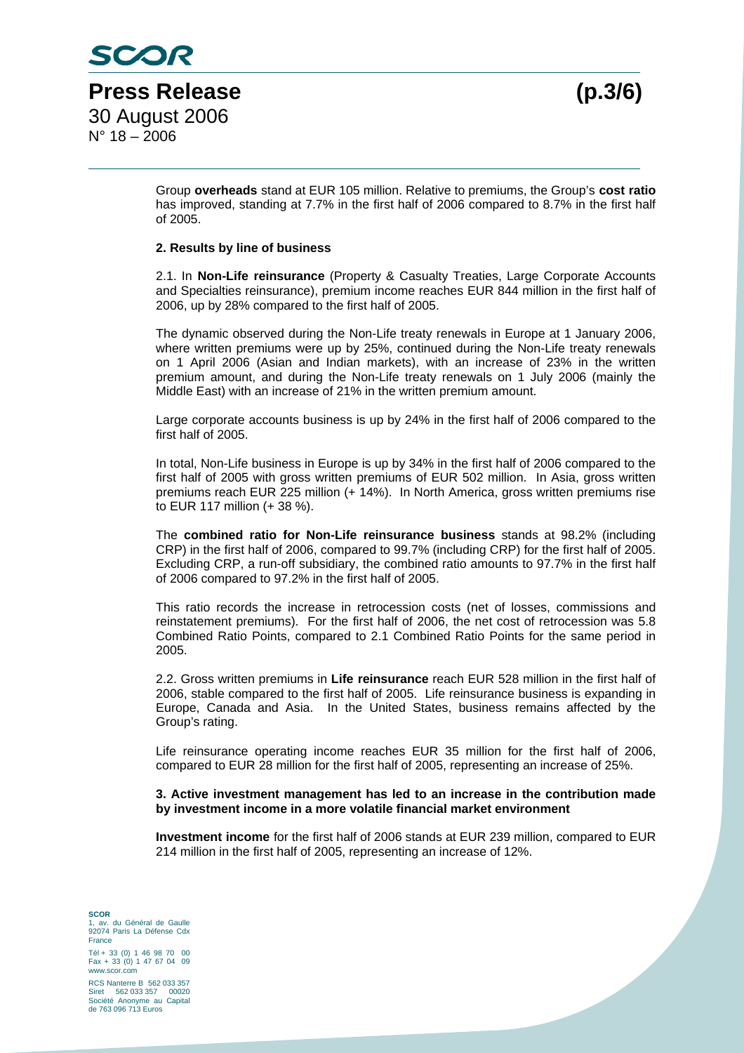Group **overheads** stand at EUR 105 million. Relative to premiums, the Group's **cost ratio**  has improved, standing at 7.7% in the first half of 2006 compared to 8.7% in the first half of 2005.

#### **2. Results by line of business**

2.1. In **Non-Life reinsurance** (Property & Casualty Treaties, Large Corporate Accounts and Specialties reinsurance), premium income reaches EUR 844 million in the first half of 2006, up by 28% compared to the first half of 2005.

The dynamic observed during the Non-Life treaty renewals in Europe at 1 January 2006, where written premiums were up by 25%, continued during the Non-Life treaty renewals on 1 April 2006 (Asian and Indian markets), with an increase of 23% in the written premium amount, and during the Non-Life treaty renewals on 1 July 2006 (mainly the Middle East) with an increase of 21% in the written premium amount.

Large corporate accounts business is up by 24% in the first half of 2006 compared to the first half of 2005.

In total, Non-Life business in Europe is up by 34% in the first half of 2006 compared to the first half of 2005 with gross written premiums of EUR 502 million. In Asia, gross written premiums reach EUR 225 million (+ 14%). In North America, gross written premiums rise to EUR 117 million (+ 38 %).

The **combined ratio for Non-Life reinsurance business** stands at 98.2% (including CRP) in the first half of 2006, compared to 99.7% (including CRP) for the first half of 2005. Excluding CRP, a run-off subsidiary, the combined ratio amounts to 97.7% in the first half of 2006 compared to 97.2% in the first half of 2005.

This ratio records the increase in retrocession costs (net of losses, commissions and reinstatement premiums). For the first half of 2006, the net cost of retrocession was 5.8 Combined Ratio Points, compared to 2.1 Combined Ratio Points for the same period in 2005.

2.2. Gross written premiums in **Life reinsurance** reach EUR 528 million in the first half of 2006, stable compared to the first half of 2005. Life reinsurance business is expanding in Europe, Canada and Asia. In the United States, business remains affected by the Group's rating.

Life reinsurance operating income reaches EUR 35 million for the first half of 2006, compared to EUR 28 million for the first half of 2005, representing an increase of 25%.

#### **3. Active investment management has led to an increase in the contribution made by investment income in a more volatile financial market environment**

**Investment income** for the first half of 2006 stands at EUR 239 million, compared to EUR 214 million in the first half of 2005, representing an increase of 12%.

**SCOR**  1, av. du Général de Gaulle 92074 Paris La Défense Cdx France

Tél + 33 (0) 1 46 98 70 00 Fax + 33 (0) 1 47 67 04 09 www.scor.com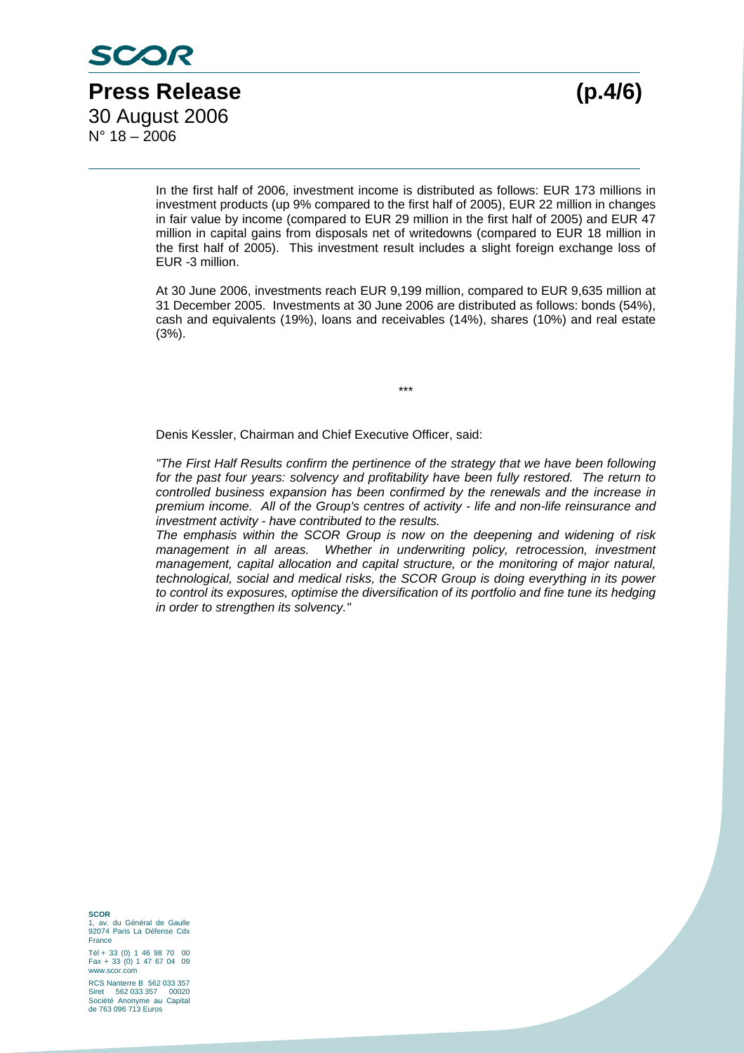In the first half of 2006, investment income is distributed as follows: EUR 173 millions in investment products (up 9% compared to the first half of 2005), EUR 22 million in changes in fair value by income (compared to EUR 29 million in the first half of 2005) and EUR 47 million in capital gains from disposals net of writedowns (compared to EUR 18 million in the first half of 2005). This investment result includes a slight foreign exchange loss of EUR -3 million.

At 30 June 2006, investments reach EUR 9,199 million, compared to EUR 9,635 million at 31 December 2005. Investments at 30 June 2006 are distributed as follows: bonds (54%), cash and equivalents (19%), loans and receivables (14%), shares (10%) and real estate (3%).

\*\*\*

Denis Kessler, Chairman and Chief Executive Officer, said:

*"The First Half Results confirm the pertinence of the strategy that we have been following*  for the past four years: solvency and profitability have been fully restored. The return to *controlled business expansion has been confirmed by the renewals and the increase in premium income. All of the Group's centres of activity - life and non-life reinsurance and investment activity - have contributed to the results.* 

*The emphasis within the SCOR Group is now on the deepening and widening of risk*  management in all areas. Whether in underwriting policy, retrocession, investment *management, capital allocation and capital structure, or the monitoring of major natural, technological, social and medical risks, the SCOR Group is doing everything in its power to control its exposures, optimise the diversification of its portfolio and fine tune its hedging in order to strengthen its solvency."* 

**SCOR**  1, av. du Général de Gaulle 92074 Paris La Défense Cdx France

Tél + 33 (0) 1 46 98 70 00 Fax + 33 (0) 1 47 67 04 09 www.scor.com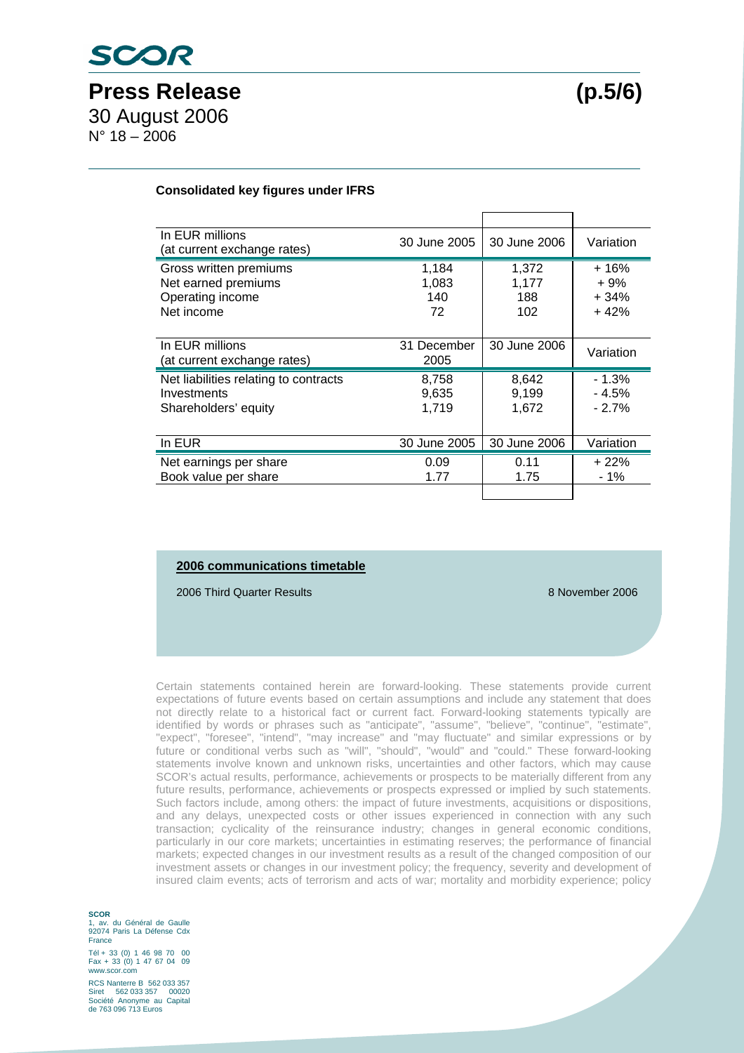#### **Consolidated key figures under IFRS**

| In EUR millions<br>(at current exchange rates)                                  | 30 June 2005                | 30 June 2006                 | Variation                           |
|---------------------------------------------------------------------------------|-----------------------------|------------------------------|-------------------------------------|
| Gross written premiums<br>Net earned premiums<br>Operating income<br>Net income | 1,184<br>1,083<br>140<br>72 | 1,372<br>1,177<br>188<br>102 | $+16%$<br>$+9%$<br>$+34%$<br>$+42%$ |
| In EUR millions<br>(at current exchange rates)                                  | 31 December<br>2005         | 30 June 2006                 | Variation                           |
| Net liabilities relating to contracts<br>Investments<br>Shareholders' equity    | 8,758<br>9,635<br>1,719     | 8,642<br>9,199<br>1,672      | $-1.3%$<br>$-4.5%$<br>$-2.7%$       |
| In EUR                                                                          | 30 June 2005                | 30 June 2006                 | Variation                           |
| Net earnings per share<br>Book value per share                                  | 0.09<br>1.77                | 0.11<br>1.75                 | $+22%$<br>- 1%                      |
|                                                                                 |                             |                              |                                     |

### **2006 communications timetable**

2006 Third Quarter Results 8 November 2006

Certain statements contained herein are forward-looking. These statements provide current expectations of future events based on certain assumptions and include any statement that does not directly relate to a historical fact or current fact. Forward-looking statements typically are identified by words or phrases such as "anticipate", "assume", "believe", "continue", "estimate", "expect", "foresee", "intend", "may increase" and "may fluctuate" and similar expressions or by future or conditional verbs such as "will", "should", "would" and "could." These forward-looking statements involve known and unknown risks, uncertainties and other factors, which may cause SCOR's actual results, performance, achievements or prospects to be materially different from any future results, performance, achievements or prospects expressed or implied by such statements. Such factors include, among others: the impact of future investments, acquisitions or dispositions, and any delays, unexpected costs or other issues experienced in connection with any such transaction; cyclicality of the reinsurance industry; changes in general economic conditions, particularly in our core markets; uncertainties in estimating reserves; the performance of financial markets; expected changes in our investment results as a result of the changed composition of our investment assets or changes in our investment policy; the frequency, severity and development of insured claim events; acts of terrorism and acts of war; mortality and morbidity experience; policy

**SCOR**  1, av. du Général de Gaulle 92074 Paris La Défense Cdx France

Tél + 33 (0) 1 46 98 70 00 Fax + 33 (0) 1 47 67 04 09 www.scor.com